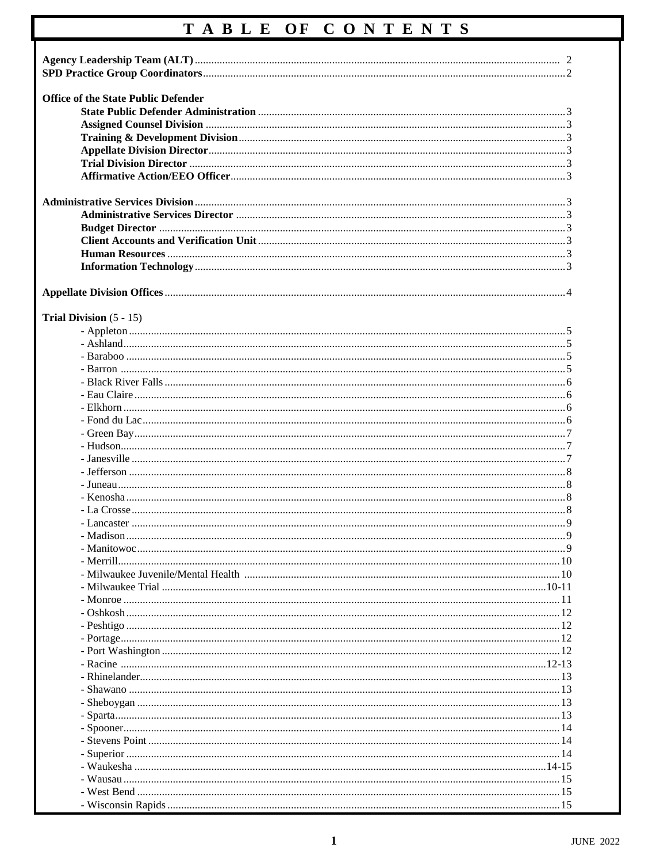# TABLE OF CONTENTS

| <b>Office of the State Public Defender</b> |  |
|--------------------------------------------|--|
|                                            |  |
|                                            |  |
|                                            |  |
|                                            |  |
|                                            |  |
|                                            |  |
|                                            |  |
|                                            |  |
|                                            |  |
|                                            |  |
|                                            |  |
|                                            |  |
|                                            |  |
|                                            |  |
|                                            |  |
|                                            |  |
| Trial Division $(5 - 15)$                  |  |
|                                            |  |
|                                            |  |
|                                            |  |
|                                            |  |
|                                            |  |
|                                            |  |
|                                            |  |
|                                            |  |
|                                            |  |
|                                            |  |
|                                            |  |
|                                            |  |
|                                            |  |
|                                            |  |
|                                            |  |
|                                            |  |
|                                            |  |
|                                            |  |
|                                            |  |
|                                            |  |
|                                            |  |
|                                            |  |
|                                            |  |
|                                            |  |
|                                            |  |
|                                            |  |
|                                            |  |
|                                            |  |
|                                            |  |
|                                            |  |
|                                            |  |
|                                            |  |
|                                            |  |
|                                            |  |
|                                            |  |
|                                            |  |
|                                            |  |
|                                            |  |
|                                            |  |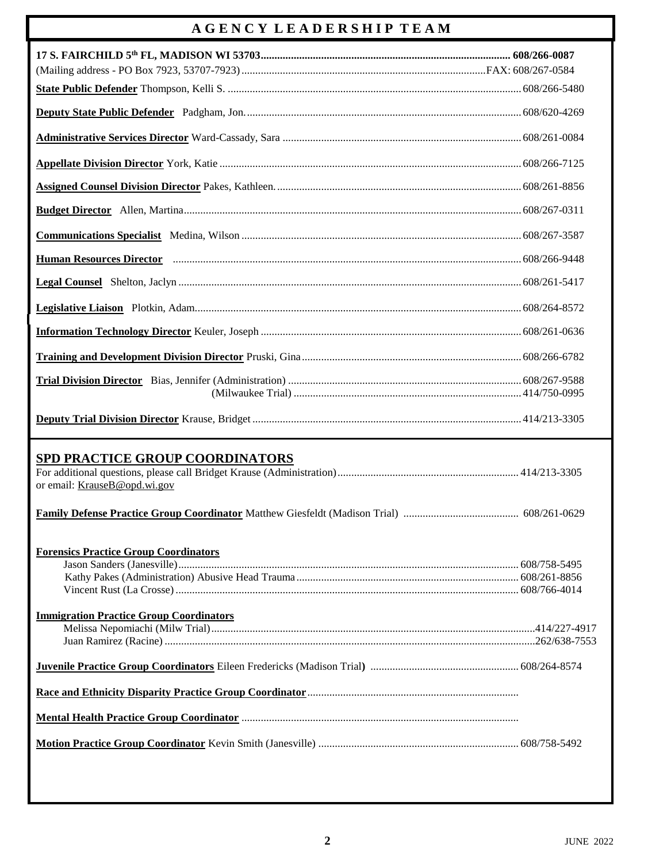### **A G E N C Y L E A D E R S H I P T E A M**

| <b>SPD PRACTICE GROUP COORDINATORS</b>                                                         |  |
|------------------------------------------------------------------------------------------------|--|
| or email: KrauseB@opd.wi.gov                                                                   |  |
|                                                                                                |  |
| <b>Forensics Practice Group Coordinators</b><br><b>Immigration Practice Group Coordinators</b> |  |
|                                                                                                |  |
|                                                                                                |  |
|                                                                                                |  |
|                                                                                                |  |
|                                                                                                |  |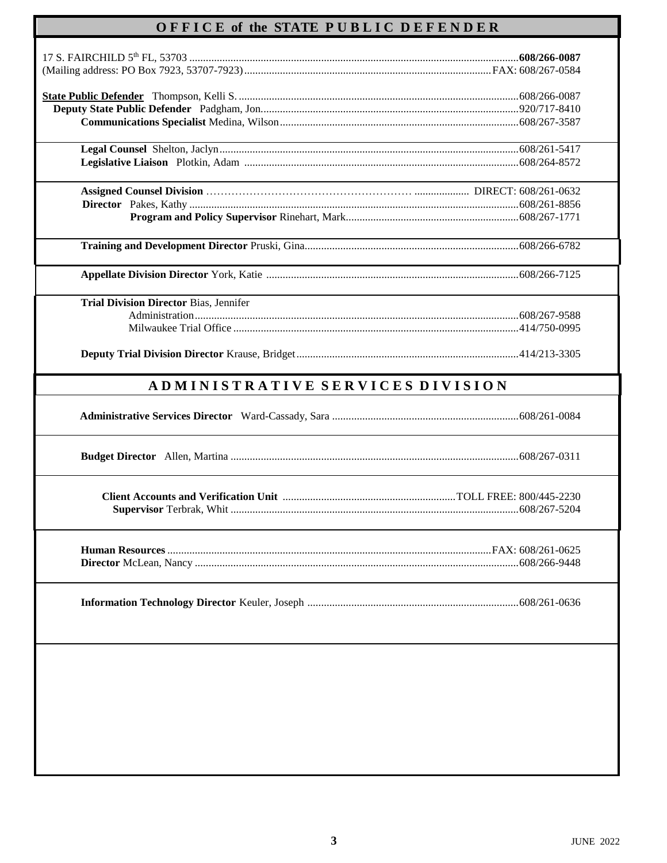## **O F F I C E of the STATE P U B L I C D E F E N D E R**

| <b>Trial Division Director Bias, Jennifer</b> |  |
|-----------------------------------------------|--|
|                                               |  |
|                                               |  |
|                                               |  |
| ADMINISTRATIVE SERVICES DIVISION              |  |
|                                               |  |
|                                               |  |
|                                               |  |
|                                               |  |
|                                               |  |
|                                               |  |
|                                               |  |
|                                               |  |
|                                               |  |
|                                               |  |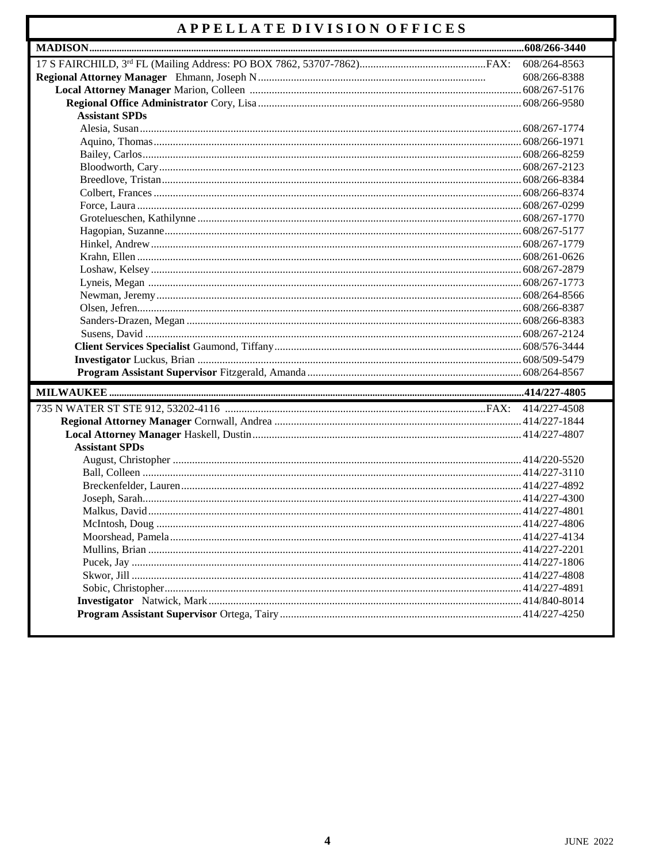### APPELLATE DIVISION OFFICES

|                       | 608/264-8563 |
|-----------------------|--------------|
|                       | 608/266-8388 |
|                       |              |
|                       |              |
| <b>Assistant SPDs</b> |              |
|                       |              |
|                       |              |
|                       |              |
|                       |              |
|                       |              |
|                       |              |
|                       |              |
|                       |              |
|                       |              |
|                       |              |
|                       |              |
|                       |              |
|                       |              |
|                       |              |
|                       |              |
|                       |              |
|                       |              |
|                       |              |
|                       |              |
|                       |              |
|                       |              |
|                       |              |
|                       |              |
|                       |              |
| <b>Assistant SPDs</b> |              |
|                       |              |
|                       |              |
|                       |              |
|                       |              |
|                       |              |
|                       | 414/227-4806 |
|                       |              |
|                       |              |
|                       |              |
|                       |              |
|                       |              |
|                       |              |
|                       |              |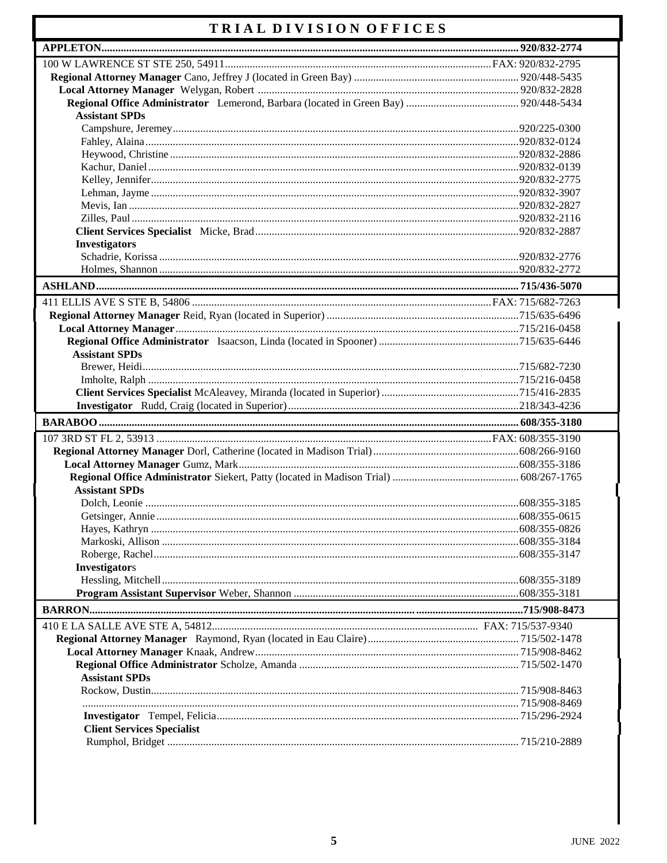### TRIAL DIVISION OFFICES

| <b>Assistant SPDs</b>             |  |
|-----------------------------------|--|
|                                   |  |
|                                   |  |
|                                   |  |
|                                   |  |
|                                   |  |
|                                   |  |
|                                   |  |
|                                   |  |
|                                   |  |
| <b>Investigators</b>              |  |
|                                   |  |
|                                   |  |
|                                   |  |
|                                   |  |
|                                   |  |
|                                   |  |
|                                   |  |
| <b>Assistant SPDs</b>             |  |
|                                   |  |
|                                   |  |
|                                   |  |
|                                   |  |
|                                   |  |
|                                   |  |
|                                   |  |
|                                   |  |
|                                   |  |
|                                   |  |
|                                   |  |
| <b>Assistant SPDs</b>             |  |
|                                   |  |
|                                   |  |
|                                   |  |
|                                   |  |
|                                   |  |
| <b>Investigators</b>              |  |
|                                   |  |
|                                   |  |
|                                   |  |
|                                   |  |
|                                   |  |
|                                   |  |
|                                   |  |
| <b>Assistant SPDs</b>             |  |
|                                   |  |
|                                   |  |
|                                   |  |
| <b>Client Services Specialist</b> |  |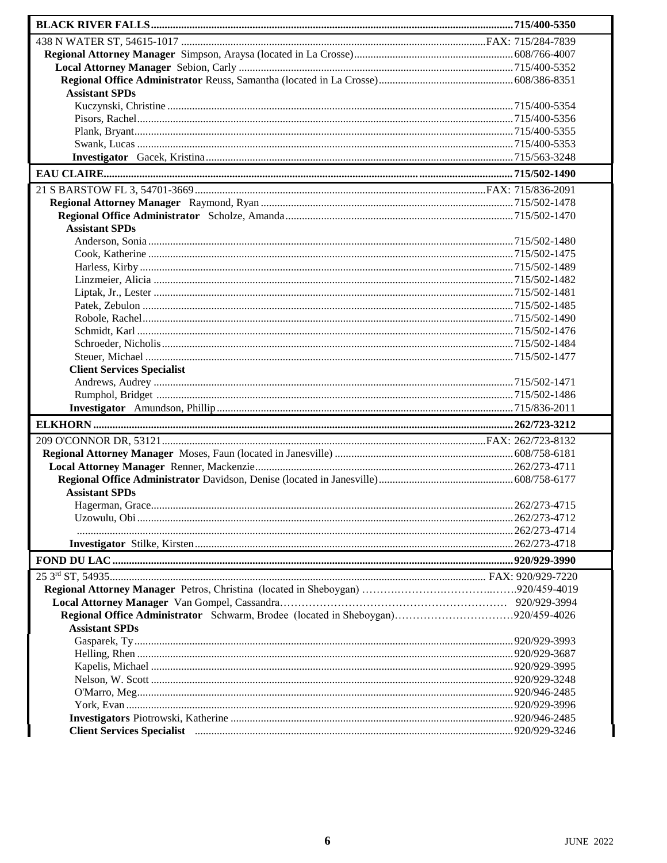| <b>Assistant SPDs</b>                                                                                                                                                                                                                               |  |
|-----------------------------------------------------------------------------------------------------------------------------------------------------------------------------------------------------------------------------------------------------|--|
|                                                                                                                                                                                                                                                     |  |
|                                                                                                                                                                                                                                                     |  |
|                                                                                                                                                                                                                                                     |  |
|                                                                                                                                                                                                                                                     |  |
|                                                                                                                                                                                                                                                     |  |
|                                                                                                                                                                                                                                                     |  |
|                                                                                                                                                                                                                                                     |  |
|                                                                                                                                                                                                                                                     |  |
|                                                                                                                                                                                                                                                     |  |
| <b>Assistant SPDs</b>                                                                                                                                                                                                                               |  |
|                                                                                                                                                                                                                                                     |  |
|                                                                                                                                                                                                                                                     |  |
|                                                                                                                                                                                                                                                     |  |
|                                                                                                                                                                                                                                                     |  |
|                                                                                                                                                                                                                                                     |  |
|                                                                                                                                                                                                                                                     |  |
|                                                                                                                                                                                                                                                     |  |
|                                                                                                                                                                                                                                                     |  |
|                                                                                                                                                                                                                                                     |  |
|                                                                                                                                                                                                                                                     |  |
|                                                                                                                                                                                                                                                     |  |
| <b>Client Services Specialist</b>                                                                                                                                                                                                                   |  |
|                                                                                                                                                                                                                                                     |  |
|                                                                                                                                                                                                                                                     |  |
|                                                                                                                                                                                                                                                     |  |
|                                                                                                                                                                                                                                                     |  |
|                                                                                                                                                                                                                                                     |  |
|                                                                                                                                                                                                                                                     |  |
|                                                                                                                                                                                                                                                     |  |
|                                                                                                                                                                                                                                                     |  |
| <b>Assistant SPDs</b>                                                                                                                                                                                                                               |  |
|                                                                                                                                                                                                                                                     |  |
|                                                                                                                                                                                                                                                     |  |
|                                                                                                                                                                                                                                                     |  |
|                                                                                                                                                                                                                                                     |  |
|                                                                                                                                                                                                                                                     |  |
|                                                                                                                                                                                                                                                     |  |
|                                                                                                                                                                                                                                                     |  |
|                                                                                                                                                                                                                                                     |  |
|                                                                                                                                                                                                                                                     |  |
| <b>Assistant SPDs</b>                                                                                                                                                                                                                               |  |
|                                                                                                                                                                                                                                                     |  |
|                                                                                                                                                                                                                                                     |  |
|                                                                                                                                                                                                                                                     |  |
|                                                                                                                                                                                                                                                     |  |
|                                                                                                                                                                                                                                                     |  |
|                                                                                                                                                                                                                                                     |  |
|                                                                                                                                                                                                                                                     |  |
| Client Services Specialist <b>must meet a construct to the Client</b> Services Specialist <b>must meet a construct to the Services</b> Specialist <b>must be a constructed by the Client</b> Services Specialist <b>must be a constructed by th</b> |  |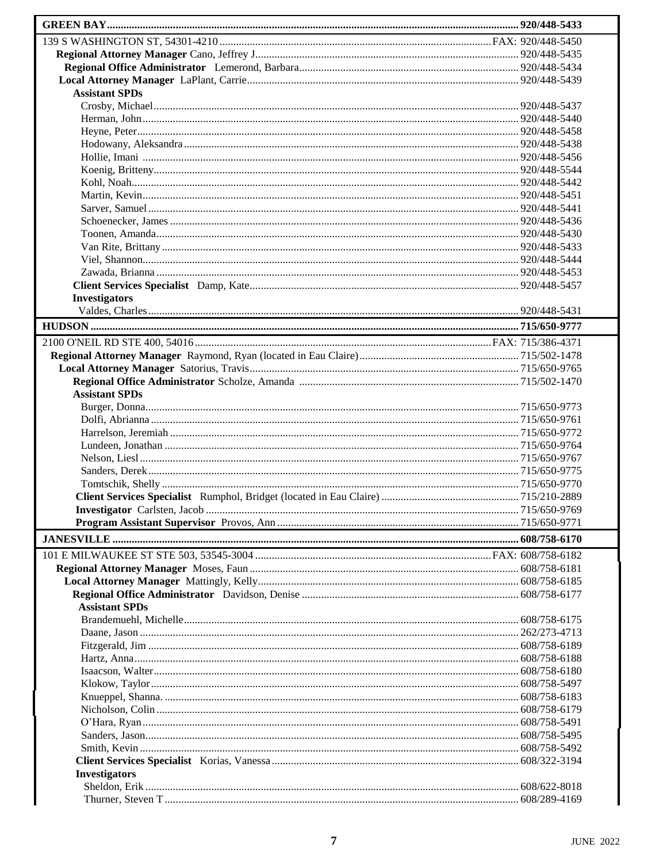| <b>Assistant SPDs</b> |  |
|-----------------------|--|
|                       |  |
|                       |  |
|                       |  |
|                       |  |
|                       |  |
|                       |  |
|                       |  |
|                       |  |
|                       |  |
|                       |  |
|                       |  |
|                       |  |
|                       |  |
|                       |  |
| <b>Investigators</b>  |  |
|                       |  |
|                       |  |
|                       |  |
|                       |  |
|                       |  |
|                       |  |
| <b>Assistant SPDs</b> |  |
|                       |  |
|                       |  |
|                       |  |
|                       |  |
|                       |  |
|                       |  |
|                       |  |
|                       |  |
|                       |  |
|                       |  |
|                       |  |
|                       |  |
|                       |  |
|                       |  |
|                       |  |
| <b>Assistant SPDs</b> |  |
|                       |  |
|                       |  |
|                       |  |
|                       |  |
|                       |  |
|                       |  |
|                       |  |
|                       |  |
|                       |  |
|                       |  |
|                       |  |
| <b>Investigators</b>  |  |
|                       |  |
|                       |  |
|                       |  |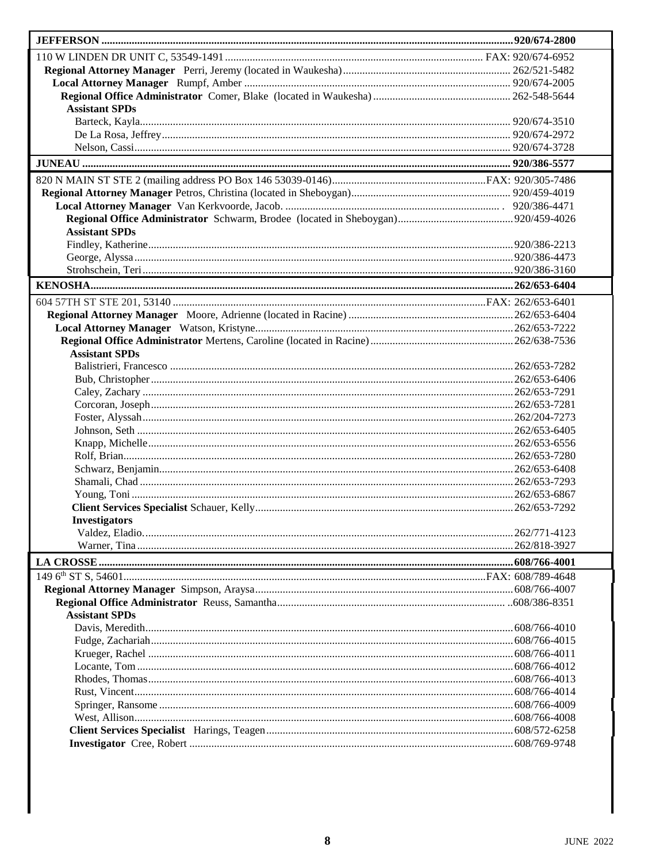| <b>Assistant SPDs</b> |  |
|-----------------------|--|
|                       |  |
|                       |  |
|                       |  |
|                       |  |
|                       |  |
|                       |  |
|                       |  |
|                       |  |
| <b>Assistant SPDs</b> |  |
|                       |  |
|                       |  |
|                       |  |
|                       |  |
|                       |  |
|                       |  |
|                       |  |
|                       |  |
|                       |  |
| <b>Assistant SPDs</b> |  |
|                       |  |
|                       |  |
|                       |  |
|                       |  |
|                       |  |
|                       |  |
|                       |  |
|                       |  |
|                       |  |
|                       |  |
|                       |  |
|                       |  |
| <b>Investigators</b>  |  |
|                       |  |
|                       |  |
|                       |  |
|                       |  |
|                       |  |
|                       |  |
| <b>Assistant SPDs</b> |  |
|                       |  |
|                       |  |
|                       |  |
|                       |  |
|                       |  |
|                       |  |
|                       |  |
|                       |  |
|                       |  |
|                       |  |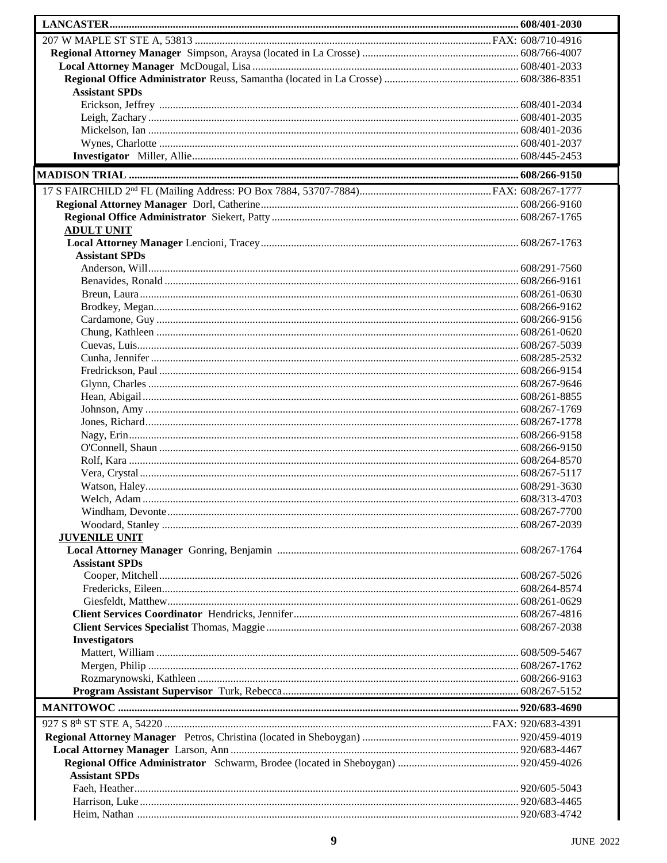| <b>Assistant SPDs</b> |  |
|-----------------------|--|
|                       |  |
|                       |  |
|                       |  |
|                       |  |
|                       |  |
|                       |  |
|                       |  |
|                       |  |
| <b>ADULT UNIT</b>     |  |
|                       |  |
| <b>Assistant SPDs</b> |  |
|                       |  |
|                       |  |
|                       |  |
|                       |  |
|                       |  |
|                       |  |
|                       |  |
|                       |  |
|                       |  |
|                       |  |
|                       |  |
|                       |  |
|                       |  |
|                       |  |
|                       |  |
|                       |  |
|                       |  |
|                       |  |
|                       |  |
|                       |  |
|                       |  |
| <b>JUVENILE UNIT</b>  |  |
|                       |  |
| <b>Assistant SPDs</b> |  |
|                       |  |
|                       |  |
|                       |  |
|                       |  |
|                       |  |
| <b>Investigators</b>  |  |
|                       |  |
|                       |  |
|                       |  |
|                       |  |
|                       |  |
|                       |  |
|                       |  |
|                       |  |
|                       |  |
| <b>Assistant SPDs</b> |  |
|                       |  |
|                       |  |
|                       |  |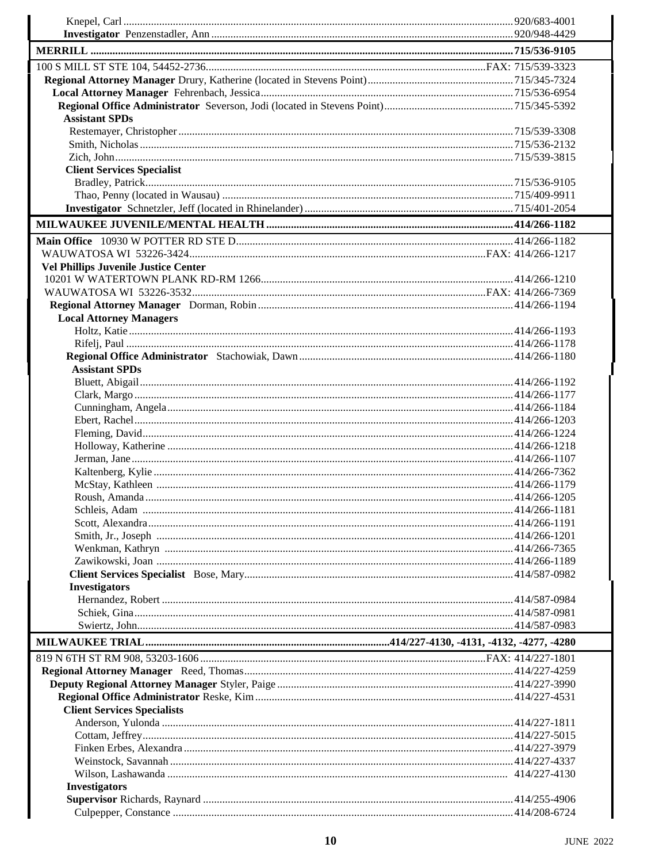| <b>Assistant SPDs</b>                       |  |
|---------------------------------------------|--|
|                                             |  |
|                                             |  |
|                                             |  |
| <b>Client Services Specialist</b>           |  |
|                                             |  |
|                                             |  |
|                                             |  |
|                                             |  |
|                                             |  |
|                                             |  |
| <b>Vel Phillips Juvenile Justice Center</b> |  |
|                                             |  |
|                                             |  |
|                                             |  |
| <b>Local Attorney Managers</b>              |  |
|                                             |  |
|                                             |  |
|                                             |  |
| <b>Assistant SPDs</b>                       |  |
|                                             |  |
|                                             |  |
|                                             |  |
|                                             |  |
|                                             |  |
|                                             |  |
|                                             |  |
|                                             |  |
|                                             |  |
|                                             |  |
|                                             |  |
|                                             |  |
|                                             |  |
|                                             |  |
|                                             |  |
|                                             |  |
| <b>Investigators</b>                        |  |
|                                             |  |
|                                             |  |
|                                             |  |
|                                             |  |
|                                             |  |
|                                             |  |
|                                             |  |
|                                             |  |
| <b>Client Services Specialists</b>          |  |
|                                             |  |
|                                             |  |
|                                             |  |
|                                             |  |
|                                             |  |
| <b>Investigators</b>                        |  |
|                                             |  |
|                                             |  |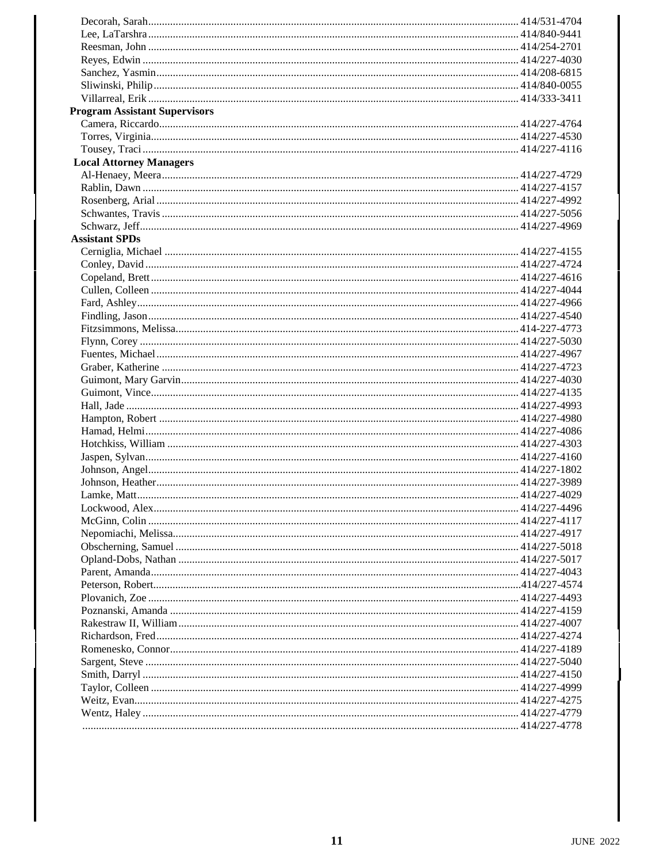| <b>Program Assistant Supervisors</b> |  |
|--------------------------------------|--|
|                                      |  |
|                                      |  |
|                                      |  |
| <b>Local Attorney Managers</b>       |  |
|                                      |  |
|                                      |  |
|                                      |  |
|                                      |  |
|                                      |  |
| <b>Assistant SPDs</b>                |  |
|                                      |  |
|                                      |  |
|                                      |  |
|                                      |  |
|                                      |  |
|                                      |  |
|                                      |  |
|                                      |  |
|                                      |  |
|                                      |  |
|                                      |  |
|                                      |  |
|                                      |  |
|                                      |  |
|                                      |  |
|                                      |  |
|                                      |  |
|                                      |  |
|                                      |  |
|                                      |  |
|                                      |  |
|                                      |  |
|                                      |  |
|                                      |  |
|                                      |  |
|                                      |  |
|                                      |  |
|                                      |  |
|                                      |  |
|                                      |  |
|                                      |  |
|                                      |  |
|                                      |  |
|                                      |  |
|                                      |  |
|                                      |  |
|                                      |  |
|                                      |  |
|                                      |  |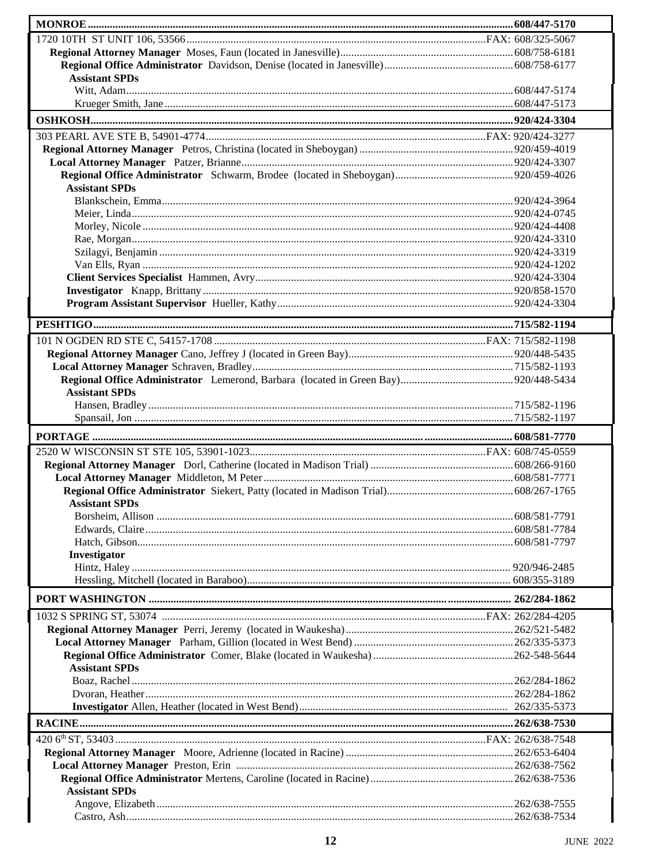| <b>Assistant SPDs</b> |  |
|-----------------------|--|
|                       |  |
|                       |  |
|                       |  |
|                       |  |
|                       |  |
|                       |  |
|                       |  |
| <b>Assistant SPDs</b> |  |
|                       |  |
|                       |  |
|                       |  |
|                       |  |
|                       |  |
|                       |  |
|                       |  |
|                       |  |
|                       |  |
|                       |  |
|                       |  |
|                       |  |
|                       |  |
|                       |  |
| <b>Assistant SPDs</b> |  |
|                       |  |
|                       |  |
|                       |  |
|                       |  |
|                       |  |
|                       |  |
|                       |  |
|                       |  |
| <b>Assistant SPDs</b> |  |
|                       |  |
|                       |  |
|                       |  |
| Investigator          |  |
|                       |  |
|                       |  |
|                       |  |
|                       |  |
|                       |  |
|                       |  |
| <b>Assistant SPDs</b> |  |
|                       |  |
|                       |  |
|                       |  |
|                       |  |
|                       |  |
|                       |  |
|                       |  |
|                       |  |
| <b>Assistant SPDs</b> |  |
|                       |  |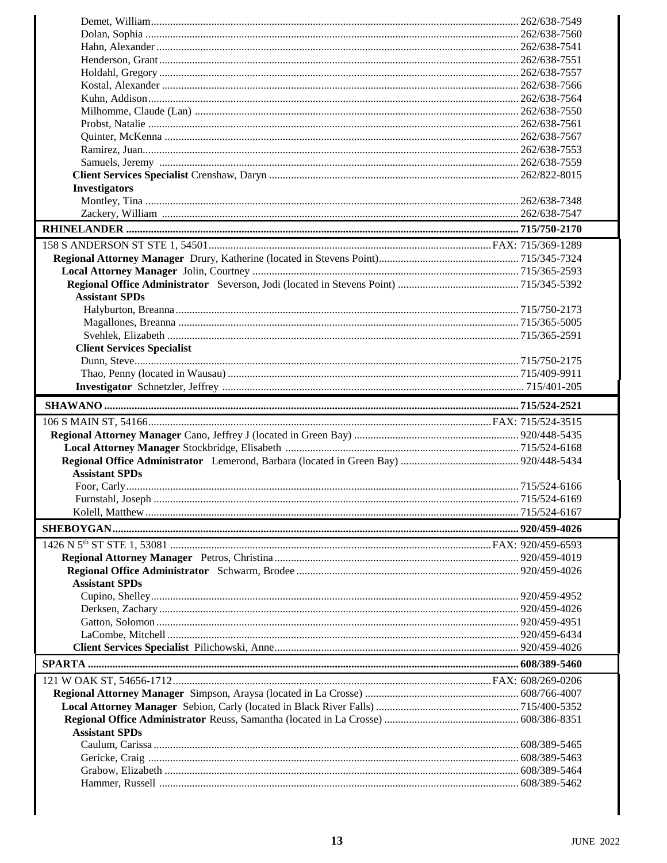| <b>Investigators</b>              |  |
|-----------------------------------|--|
|                                   |  |
|                                   |  |
|                                   |  |
|                                   |  |
|                                   |  |
|                                   |  |
|                                   |  |
|                                   |  |
| <b>Assistant SPDs</b>             |  |
|                                   |  |
|                                   |  |
|                                   |  |
| <b>Client Services Specialist</b> |  |
|                                   |  |
|                                   |  |
|                                   |  |
|                                   |  |
|                                   |  |
|                                   |  |
|                                   |  |
|                                   |  |
|                                   |  |
|                                   |  |
|                                   |  |
| <b>Assistant SPDs</b>             |  |
|                                   |  |
|                                   |  |
|                                   |  |
|                                   |  |
|                                   |  |
|                                   |  |
|                                   |  |
|                                   |  |
| <b>Assistant SPDs</b>             |  |
|                                   |  |
|                                   |  |
|                                   |  |
|                                   |  |
|                                   |  |
|                                   |  |
|                                   |  |
|                                   |  |
|                                   |  |
|                                   |  |
|                                   |  |
| <b>Assistant SPDs</b>             |  |
|                                   |  |
|                                   |  |
|                                   |  |
|                                   |  |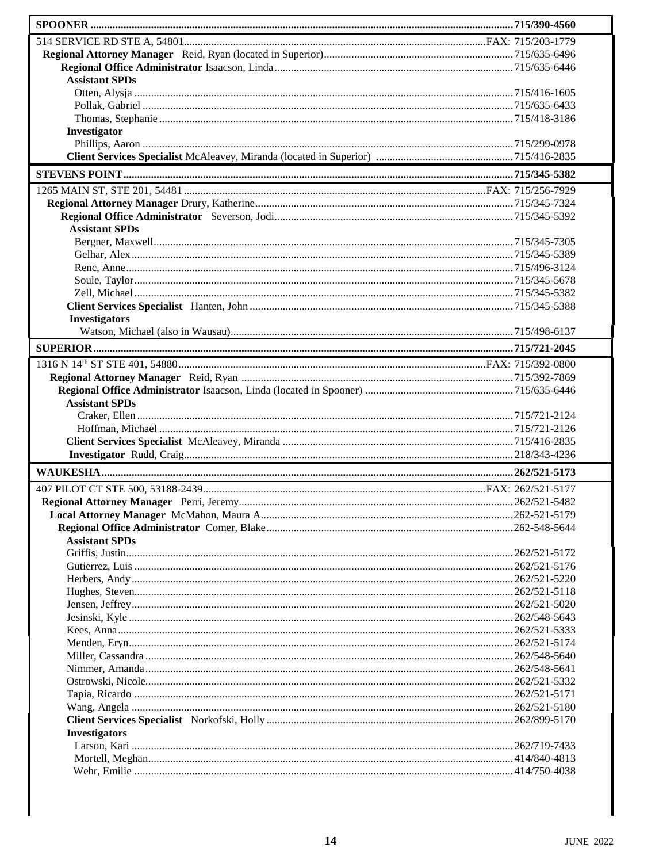| <b>Assistant SPDs</b> |  |
|-----------------------|--|
|                       |  |
|                       |  |
|                       |  |
| Investigator          |  |
|                       |  |
|                       |  |
|                       |  |
|                       |  |
|                       |  |
|                       |  |
| <b>Assistant SPDs</b> |  |
|                       |  |
|                       |  |
|                       |  |
|                       |  |
|                       |  |
|                       |  |
| <b>Investigators</b>  |  |
|                       |  |
|                       |  |
|                       |  |
|                       |  |
|                       |  |
|                       |  |
| <b>Assistant SPDs</b> |  |
|                       |  |
|                       |  |
|                       |  |
|                       |  |
|                       |  |
|                       |  |
|                       |  |
|                       |  |
|                       |  |
| <b>Assistant SPDs</b> |  |
|                       |  |
|                       |  |
|                       |  |
|                       |  |
|                       |  |
|                       |  |
|                       |  |
|                       |  |
|                       |  |
|                       |  |
|                       |  |
|                       |  |
|                       |  |
|                       |  |
| <b>Investigators</b>  |  |
|                       |  |
|                       |  |